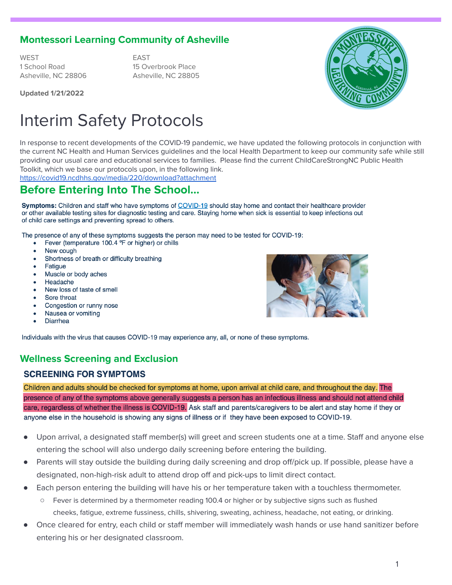### **Montessori Learning Community of Asheville**

WEST EAST 1 School Road 15 Overbrook Place Asheville, NC 28806 Asheville, NC 28805

**Updated 1/21/2022**



# Interim Safety Protocols

In response to recent developments of the COVID-19 pandemic, we have updated the following protocols in conjunction with the current NC Health and Human Services guidelines and the local Health Department to keep our community safe while still providing our usual care and educational services to families. Please find the current ChildCareStrongNC Public Health Toolkit, which we base our protocols upon, in the following link.

<https://covid19.ncdhhs.gov/media/220/download?attachment>

# **Before Entering Into The School…**

Symptoms: Children and staff who have symptoms of COVID-19 should stay home and contact their healthcare provider or other available testing sites for diagnostic testing and care. Staying home when sick is essential to keep infections out of child care settings and preventing spread to others.

The presence of any of these symptoms suggests the person may need to be tested for COVID-19:

- Fever (temperature 100.4 °F or higher) or chills
- New cough
- Shortness of breath or difficulty breathing  $\bullet$
- Fatigue  $\bullet$
- Muscle or body aches
- Headache
- New loss of taste of smell
- Sore throat  $\bullet$
- Congestion or runny nose
- Nausea or vomiting  $\bullet$
- **Diarrhea**  $\bullet$



## **Wellness Screening and Exclusion**

### **SCREENING FOR SYMPTOMS**

Children and adults should be checked for symptoms at home, upon arrival at child care, and throughout the day. The presence of any of the symptoms above generally suggests a person has an infectious illness and should not attend child care, regardless of whether the illness is COVID-19. Ask staff and parents/caregivers to be alert and stay home if they or anyone else in the household is showing any signs of illness or if they have been exposed to COVID-19.

- Upon arrival, a designated staff member(s) will greet and screen students one at a time. Staff and anyone else entering the school will also undergo daily screening before entering the building.
- Parents will stay outside the building during daily screening and drop off/pick up. If possible, please have a designated, non-high-risk adult to attend drop off and pick-ups to limit direct contact.
- Each person entering the building will have his or her temperature taken with a touchless thermometer.
	- Fever is determined by a thermometer reading 100.4 or higher or by subjective signs such as flushed cheeks, fatigue, extreme fussiness, chills, shivering, sweating, achiness, headache, not eating, or drinking.
- Once cleared for entry, each child or staff member will immediately wash hands or use hand sanitizer before entering his or her designated classroom.

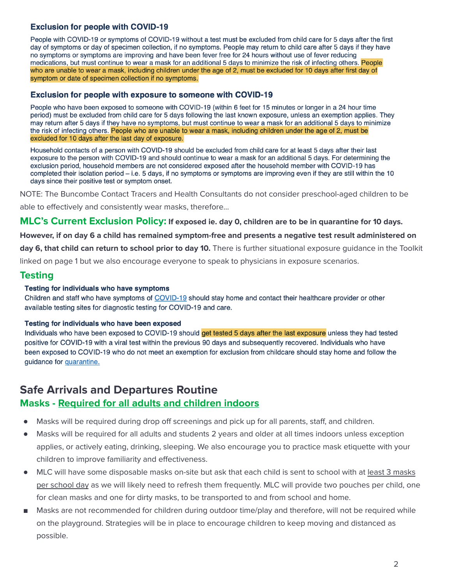### **Exclusion for people with COVID-19**

People with COVID-19 or symptoms of COVID-19 without a test must be excluded from child care for 5 days after the first day of symptoms or day of specimen collection, if no symptoms. People may return to child care after 5 days if they have no symptoms or symptoms are improving and have been fever free for 24 hours without use of fever reducing medications, but must continue to wear a mask for an additional 5 days to minimize the risk of infecting others. People who are unable to wear a mask, including children under the age of 2, must be excluded for 10 days after first day of symptom or date of specimen collection if no symptoms.

#### Exclusion for people with exposure to someone with COVID-19

People who have been exposed to someone with COVID-19 (within 6 feet for 15 minutes or longer in a 24 hour time period) must be excluded from child care for 5 days following the last known exposure, unless an exemption applies. They may return after 5 days if they have no symptoms, but must continue to wear a mask for an additional 5 days to minimize the risk of infecting others. People who are unable to wear a mask, including children under the age of 2, must be excluded for 10 days after the last day of exposure.

Household contacts of a person with COVID-19 should be excluded from child care for at least 5 days after their last exposure to the person with COVID-19 and should continue to wear a mask for an additional 5 days. For determining the exclusion period, household members are not considered exposed after the household member with COVID-19 has completed their isolation period – i.e. 5 days, if no symptoms or symptoms are improving even if they are still within the 10 days since their positive test or symptom onset.

NOTE: The Buncombe Contact Tracers and Health Consultants do not consider preschool-aged children to be

able to effectively and consistently wear masks, therefore…

### MLC's Current Exclusion Policy: If exposed ie. day 0, children are to be in quarantine for 10 days.

However, if on day 6 a child has remained symptom-free and presents a negative test result administered on

**day 6, that child can return to school prior to day 10.** There is further situational exposure guidance in the Toolkit

linked on page 1 but we also encourage everyone to speak to physicians in exposure scenarios.

### **Testing**

#### Testing for individuals who have symptoms

Children and staff who have symptoms of COVID-19 should stay home and contact their healthcare provider or other available testing sites for diagnostic testing for COVID-19 and care.

#### Testing for individuals who have been exposed

Individuals who have been exposed to COVID-19 should get tested 5 days after the last exposure unless they had tested positive for COVID-19 with a viral test within the previous 90 days and subsequently recovered. Individuals who have been exposed to COVID-19 who do not meet an exemption for exclusion from childcare should stay home and follow the guidance for **quarantine**.

# **Safe Arrivals and Departures Routine Masks - Required for all adults and children indoors**

- Masks will be required during drop off screenings and pick up for all parents, staff, and children.
- Masks will be required for all adults and students 2 years and older at all times indoors unless exception applies, or actively eating, drinking, sleeping. We also encourage you to practice mask etiquette with your children to improve familiarity and effectiveness.
- MLC will have some disposable masks on-site but ask that each child is sent to school with at least 3 masks per school day as we will likely need to refresh them frequently. MLC will provide two pouches per child, one for clean masks and one for dirty masks, to be transported to and from school and home.
- Masks are not recommended for children during outdoor time/play and therefore, will not be required while on the playground. Strategies will be in place to encourage children to keep moving and distanced as possible.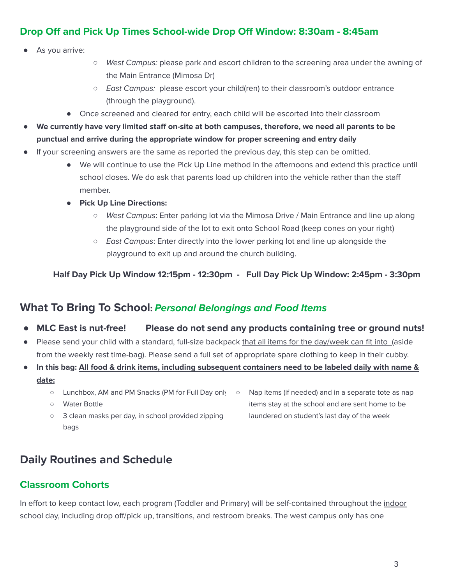## **Drop Off and Pick Up Times School-wide Drop Off Window: 8:30am - 8:45am**

- As you arrive:
- *West Campus:* please park and escort children to the screening area under the awning of the Main Entrance (Mimosa Dr)
- *East Campus:* please escort your child(ren) to their classroom's outdoor entrance (through the playground).
- **●** Once screened and cleared for entry, each child will be escorted into their classroom
- We currently have very limited staff on-site at both campuses, therefore, we need all parents to be **punctual and arrive during the appropriate window for proper screening and entry daily**
- If your screening answers are the same as reported the previous day, this step can be omitted.
	- We will continue to use the Pick Up Line method in the afternoons and extend this practice until school closes. We do ask that parents load up children into the vehicle rather than the staff member.
	- **● Pick Up Line Directions:**
		- West Campus: Enter parking lot via the Mimosa Drive / Main Entrance and line up along the playground side of the lot to exit onto School Road (keep cones on your right)
		- *East Campus*: Enter directly into the lower parking lot and line up alongside the playground to exit up and around the church building.

**Half Day Pick Up Window 12:15pm - 12:30pm - Full Day Pick Up Window: 2:45pm - 3:30pm**

### **What To Bring To School: Personal Belongings and Food Items**

- **● MLC East is nut-free! Please do not send any products containing tree or ground nuts!**
- Please send your child with a standard, full-size backpack that all items for the day/week can fit into (aside from the weekly rest time-bag). Please send a full set of appropriate spare clothing to keep in their cubby.
- In this bag: All food & drink items, including subsequent containers need to be labeled daily with name & **date:**
	- o Lunchbox, AM and PM Snacks (PM for Full Day only on
	- Water Bottle
- Nap items (if needed) and in a separate tote as nap items stay at the school and are sent home to be laundered on student's last day of the week
- 3 clean masks per day, in school provided zipping bags

# **Daily Routines and Schedule**

### **Classroom Cohorts**

In effort to keep contact low, each program (Toddler and Primary) will be self-contained throughout the indoor school day, including drop off/pick up, transitions, and restroom breaks. The west campus only has one